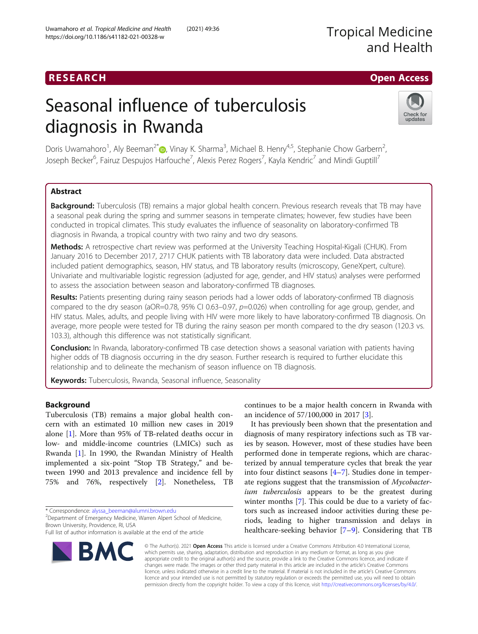## RESEARCH **RESEARCH CHOOSE ACCESS**

# Seasonal influence of tuberculosis diagnosis in Rwanda



Doris Uwamahoro<sup>1</sup>[,](http://orcid.org/0000-0002-3538-760X) Aly Beeman<sup>2\*</sup>®, Vinay K. Sharma<sup>3</sup>, Michael B. Henry<sup>4,5</sup>, Stephanie Chow Garbern<sup>2</sup> , Joseph Becker<sup>6</sup>, Fairuz Despujos Harfouche<sup>7</sup>, Alexis Perez Rogers<sup>7</sup>, Kayla Kendric<sup>7</sup> and Mindi Guptill<sup>7</sup>

### Abstract

Background: Tuberculosis (TB) remains a major global health concern. Previous research reveals that TB may have a seasonal peak during the spring and summer seasons in temperate climates; however, few studies have been conducted in tropical climates. This study evaluates the influence of seasonality on laboratory-confirmed TB diagnosis in Rwanda, a tropical country with two rainy and two dry seasons.

Methods: A retrospective chart review was performed at the University Teaching Hospital-Kigali (CHUK). From January 2016 to December 2017, 2717 CHUK patients with TB laboratory data were included. Data abstracted included patient demographics, season, HIV status, and TB laboratory results (microscopy, GeneXpert, culture). Univariate and multivariable logistic regression (adjusted for age, gender, and HIV status) analyses were performed to assess the association between season and laboratory-confirmed TB diagnoses.

Results: Patients presenting during rainy season periods had a lower odds of laboratory-confirmed TB diagnosis compared to the dry season (aOR=0.78, 95% CI 0.63-0.97, p=0.026) when controlling for age group, gender, and HIV status. Males, adults, and people living with HIV were more likely to have laboratory-confirmed TB diagnosis. On average, more people were tested for TB during the rainy season per month compared to the dry season (120.3 vs. 103.3), although this difference was not statistically significant.

**Conclusion:** In Rwanda, laboratory-confirmed TB case detection shows a seasonal variation with patients having higher odds of TB diagnosis occurring in the dry season. Further research is required to further elucidate this relationship and to delineate the mechanism of season influence on TB diagnosis.

Keywords: Tuberculosis, Rwanda, Seasonal influence, Seasonality

#### Background

Tuberculosis (TB) remains a major global health concern with an estimated 10 million new cases in 2019 alone [\[1](#page-6-0)]. More than 95% of TB-related deaths occur in low- and middle-income countries (LMICs) such as Rwanda [[1\]](#page-6-0). In 1990, the Rwandan Ministry of Health implemented a six-point "Stop TB Strategy," and between 1990 and 2013 prevalence and incidence fell by 75% and 76%, respectively [[2](#page-6-0)]. Nonetheless, TB

Full list of author information is available at the end of the article



continues to be a major health concern in Rwanda with an incidence of 57/100,000 in 2017 [[3\]](#page-6-0).

It has previously been shown that the presentation and diagnosis of many respiratory infections such as TB varies by season. However, most of these studies have been performed done in temperate regions, which are characterized by annual temperature cycles that break the year into four distinct seasons [[4](#page-6-0)–[7](#page-6-0)]. Studies done in temperate regions suggest that the transmission of Mycobacterium tuberculosis appears to be the greatest during winter months [\[7](#page-6-0)]. This could be due to a variety of factors such as increased indoor activities during these periods, leading to higher transmission and delays in healthcare-seeking behavior [\[7](#page-6-0)–[9\]](#page-6-0). Considering that TB

© The Author(s). 2021 Open Access This article is licensed under a Creative Commons Attribution 4.0 International License, which permits use, sharing, adaptation, distribution and reproduction in any medium or format, as long as you give appropriate credit to the original author(s) and the source, provide a link to the Creative Commons licence, and indicate if changes were made. The images or other third party material in this article are included in the article's Creative Commons licence, unless indicated otherwise in a credit line to the material. If material is not included in the article's Creative Commons licence and your intended use is not permitted by statutory regulation or exceeds the permitted use, you will need to obtain permission directly from the copyright holder. To view a copy of this licence, visit [http://creativecommons.org/licenses/by/4.0/.](http://creativecommons.org/licenses/by/4.0/)

<sup>\*</sup> Correspondence: [alyssa\\_beeman@alumni.brown.edu](mailto:alyssa_beeman@alumni.brown.edu) <sup>2</sup>

<sup>&</sup>lt;sup>2</sup> Department of Emergency Medicine, Warren Alpert School of Medicine, Brown University, Providence, RI, USA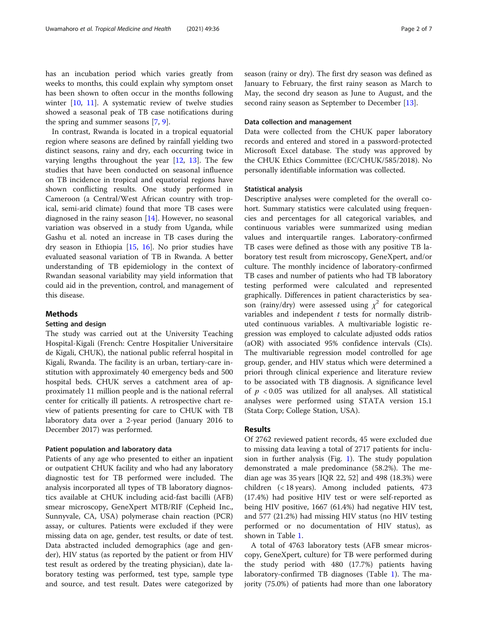has an incubation period which varies greatly from weeks to months, this could explain why symptom onset has been shown to often occur in the months following winter [[10,](#page-6-0) [11\]](#page-6-0). A systematic review of twelve studies showed a seasonal peak of TB case notifications during the spring and summer seasons [\[7,](#page-6-0) [9\]](#page-6-0).

In contrast, Rwanda is located in a tropical equatorial region where seasons are defined by rainfall yielding two distinct seasons, rainy and dry, each occurring twice in varying lengths throughout the year [[12,](#page-6-0) [13](#page-6-0)]. The few studies that have been conducted on seasonal influence on TB incidence in tropical and equatorial regions have shown conflicting results. One study performed in Cameroon (a Central/West African country with tropical, semi-arid climate) found that more TB cases were diagnosed in the rainy season [[14](#page-6-0)]. However, no seasonal variation was observed in a study from Uganda, while Gashu et al. noted an increase in TB cases during the dry season in Ethiopia [\[15](#page-6-0), [16\]](#page-6-0). No prior studies have evaluated seasonal variation of TB in Rwanda. A better understanding of TB epidemiology in the context of Rwandan seasonal variability may yield information that could aid in the prevention, control, and management of this disease.

#### Methods

#### Setting and design

The study was carried out at the University Teaching Hospital-Kigali (French: Centre Hospitalier Universitaire de Kigali, CHUK), the national public referral hospital in Kigali, Rwanda. The facility is an urban, tertiary-care institution with approximately 40 emergency beds and 500 hospital beds. CHUK serves a catchment area of approximately 11 million people and is the national referral center for critically ill patients. A retrospective chart review of patients presenting for care to CHUK with TB laboratory data over a 2-year period (January 2016 to December 2017) was performed.

#### Patient population and laboratory data

Patients of any age who presented to either an inpatient or outpatient CHUK facility and who had any laboratory diagnostic test for TB performed were included. The analysis incorporated all types of TB laboratory diagnostics available at CHUK including acid-fast bacilli (AFB) smear microscopy, GeneXpert MTB/RIF (Cepheid Inc., Sunnyvale, CA, USA) polymerase chain reaction (PCR) assay, or cultures. Patients were excluded if they were missing data on age, gender, test results, or date of test. Data abstracted included demographics (age and gender), HIV status (as reported by the patient or from HIV test result as ordered by the treating physician), date laboratory testing was performed, test type, sample type and source, and test result. Dates were categorized by season (rainy or dry). The first dry season was defined as January to February, the first rainy season as March to May, the second dry season as June to August, and the second rainy season as September to December [[13\]](#page-6-0).

#### Data collection and management

Data were collected from the CHUK paper laboratory records and entered and stored in a password-protected Microsoft Excel database. The study was approved by the CHUK Ethics Committee (EC/CHUK/585/2018). No personally identifiable information was collected.

#### Statistical analysis

Descriptive analyses were completed for the overall cohort. Summary statistics were calculated using frequencies and percentages for all categorical variables, and continuous variables were summarized using median values and interquartile ranges. Laboratory-confirmed TB cases were defined as those with any positive TB laboratory test result from microscopy, GeneXpert, and/or culture. The monthly incidence of laboratory-confirmed TB cases and number of patients who had TB laboratory testing performed were calculated and represented graphically. Differences in patient characteristics by season (rainy/dry) were assessed using  $\chi^2$  for categorical variables and independent  $t$  tests for normally distributed continuous variables. A multivariable logistic regression was employed to calculate adjusted odds ratios (aOR) with associated 95% confidence intervals (CIs). The multivariable regression model controlled for age group, gender, and HIV status which were determined a priori through clinical experience and literature review to be associated with TB diagnosis. A significance level of  $p < 0.05$  was utilized for all analyses. All statistical analyses were performed using STATA version 15.1 (Stata Corp; College Station, USA).

#### Results

Of 2762 reviewed patient records, 45 were excluded due to missing data leaving a total of 2717 patients for inclusion in further analysis (Fig. [1](#page-2-0)). The study population demonstrated a male predominance (58.2%). The median age was 35 years [IQR 22, 52] and 498 (18.3%) were children (< 18 years). Among included patients, 473 (17.4%) had positive HIV test or were self-reported as being HIV positive, 1667 (61.4%) had negative HIV test, and 577 (21.2%) had missing HIV status (no HIV testing performed or no documentation of HIV status), as shown in Table [1.](#page-2-0)

A total of 4763 laboratory tests (AFB smear microscopy, GeneXpert, culture) for TB were performed during the study period with 480 (17.7%) patients having laboratory-confirmed TB diagnoses (Table [1](#page-2-0)). The majority (75.0%) of patients had more than one laboratory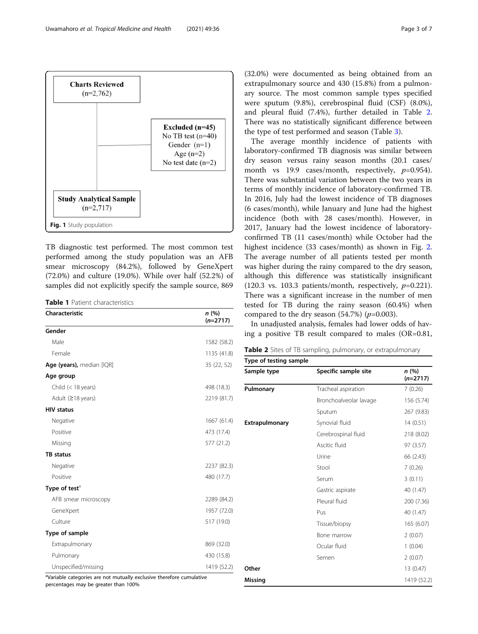<span id="page-2-0"></span>

TB diagnostic test performed. The most common test performed among the study population was an AFB smear microscopy (84.2%), followed by GeneXpert (72.0%) and culture (19.0%). While over half (52.2%) of samples did not explicitly specify the sample source, 869

Table 1 Patient characteristics

| Characteristic            | n(%)<br>$(n=2717)$ |
|---------------------------|--------------------|
| Gender                    |                    |
| Male                      | 1582 (58.2)        |
| Female                    | 1135 (41.8)        |
| Age (years), median [IQR] | 35 (22, 52)        |
| Age group                 |                    |
| Child $(< 18$ years)      | 498 (18.3)         |
| Adult ( $\geq$ 18 years)  | 2219 (81.7)        |
| <b>HIV status</b>         |                    |
| Negative                  | 1667 (61.4)        |
| Positive                  | 473 (17.4)         |
| Missing                   | 577 (21.2)         |
| <b>TB</b> status          |                    |
| Negative                  | 2237 (82.3)        |
| Positive                  | 480 (17.7)         |
| Type of test <sup>a</sup> |                    |
| AFB smear microscopy      | 2289 (84.2)        |
| GeneXpert                 | 1957 (72.0)        |
| Culture                   | 517 (19.0)         |
| Type of sample            |                    |
| Extrapulmonary            | 869 (32.0)         |
| Pulmonary                 | 430 (15.8)         |
| Unspecified/missing       | 1419 (52.2)        |

<sup>a</sup>Variable categories are not mutually exclusive therefore cumulative

percentages may be greater than 100%

(32.0%) were documented as being obtained from an extrapulmonary source and 430 (15.8%) from a pulmonary source. The most common sample types specified were sputum (9.8%), cerebrospinal fluid (CSF) (8.0%), and pleural fluid (7.4%), further detailed in Table 2. There was no statistically significant difference between the type of test performed and season (Table [3\)](#page-3-0).

The average monthly incidence of patients with laboratory-confirmed TB diagnosis was similar between dry season versus rainy season months (20.1 cases/ month vs 19.9 cases/month, respectively,  $p=0.954$ ). There was substantial variation between the two years in terms of monthly incidence of laboratory-confirmed TB. In 2016, July had the lowest incidence of TB diagnoses (6 cases/month), while January and June had the highest incidence (both with 28 cases/month). However, in 2017, January had the lowest incidence of laboratoryconfirmed TB (11 cases/month) while October had the highest incidence (33 cases/month) as shown in Fig. [2](#page-3-0). The average number of all patients tested per month was higher during the rainy compared to the dry season, although this difference was statistically insignificant (120.3 vs. 103.3 patients/month, respectively,  $p=0.221$ ). There was a significant increase in the number of men tested for TB during the rainy season (60.4%) when compared to the dry season  $(54.7%)$   $(p=0.003)$ .

In unadjusted analysis, females had lower odds of having a positive TB result compared to males (OR=0.81,

| Table 2 Sites of TB sampling, pulmonary, or extrapulmonary |  |
|------------------------------------------------------------|--|
|------------------------------------------------------------|--|

| Sample type           | Specific sample site   | n(%)<br>$(n=2717)$ |
|-----------------------|------------------------|--------------------|
| Pulmonary             | Tracheal aspiration    | 7(0.26)            |
|                       | Bronchoalveolar lavage | 156 (5.74)         |
|                       | Sputum                 | 267 (9.83)         |
| <b>Extrapulmonary</b> | Synovial fluid         | 14(0.51)           |
|                       | Cerebrospinal fluid    | 218 (8.02)         |
|                       | Ascitic fluid          | 97 (3.57)          |
|                       | Urine                  | 66 (2.43)          |
|                       | Stool                  | 7(0.26)            |
|                       | Serum                  | 3(0.11)            |
|                       | Gastric aspirate       | 40 (1.47)          |
|                       | Pleural fluid          | 200 (7.36)         |
|                       | Pus                    | 40 (1.47)          |
|                       | Tissue/biopsy          | 165 (6.07)         |
|                       | Bone marrow            | 2(0.07)            |
|                       | Ocular fluid           | 1(0.04)            |
|                       | Semen                  | 2(0.07)            |
| Other                 |                        | 13 (0.47)          |
| <b>Missing</b>        |                        | 1419 (52.2)        |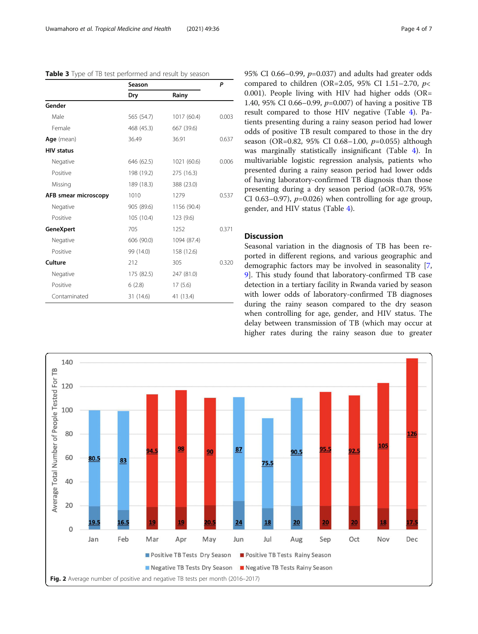<span id="page-3-0"></span>

|  |  | Table 3 Type of TB test performed and result by season |
|--|--|--------------------------------------------------------|
|--|--|--------------------------------------------------------|

|                      | Season         |             | P     |  |
|----------------------|----------------|-------------|-------|--|
|                      | Dry            | Rainy       |       |  |
| Gender               |                |             |       |  |
| Male                 | 565 (54.7)     | 1017 (60.4) | 0.003 |  |
| Female               | 468 (45.3)     | 667 (39.6)  |       |  |
| Age (mean)           | 36.49<br>36.91 |             | 0.637 |  |
| <b>HIV status</b>    |                |             |       |  |
| Negative             | 646 (62.5)     | 1021 (60.6) | 0.006 |  |
| Positive             | 198 (19.2)     | 275 (16.3)  |       |  |
| Missing              | 189 (18.3)     | 388 (23.0)  |       |  |
| AFB smear microscopy | 1010           | 1279        | 0.537 |  |
| Negative             | 905 (89.6)     | 1156 (90.4) |       |  |
| Positive             | 105 (10.4)     | 123 (9.6)   |       |  |
| <b>GeneXpert</b>     | 705            | 1252        | 0.371 |  |
| Negative             | 606 (90.0)     | 1094 (87.4) |       |  |
| Positive             | 99 (14.0)      | 158 (12.6)  |       |  |
| Culture              | 212            | 305         | 0.320 |  |
| Negative             | 175 (82.5)     | 247 (81.0)  |       |  |
| Positive             | 6(2.8)         | 17(5.6)     |       |  |
| Contaminated         | 31 (14.6)      | 41 (13.4)   |       |  |

95% CI 0.66–0.99,  $p=0.037$  and adults had greater odds compared to children (OR=2.05, 95% CI 1.51-2.70,  $p$ < 0.001). People living with HIV had higher odds (OR= 1.40, 95% CI 0.66–0.99, p=0.007) of having a positive TB result compared to those HIV negative (Table [4\)](#page-4-0). Patients presenting during a rainy season period had lower odds of positive TB result compared to those in the dry season (OR=0.82, 95% CI 0.68–1.00, p=0.055) although was marginally statistically insignificant (Table [4\)](#page-4-0). In multivariable logistic regression analysis, patients who presented during a rainy season period had lower odds of having laboratory-confirmed TB diagnosis than those presenting during a dry season period (aOR=0.78, 95% CI 0.63–0.97),  $p=0.026$ ) when controlling for age group, gender, and HIV status (Table [4\)](#page-4-0).

#### **Discussion**

Seasonal variation in the diagnosis of TB has been reported in different regions, and various geographic and demographic factors may be involved in seasonality [[7](#page-6-0), [9\]](#page-6-0). This study found that laboratory-confirmed TB case detection in a tertiary facility in Rwanda varied by season with lower odds of laboratory-confirmed TB diagnoses during the rainy season compared to the dry season when controlling for age, gender, and HIV status. The delay between transmission of TB (which may occur at higher rates during the rainy season due to greater

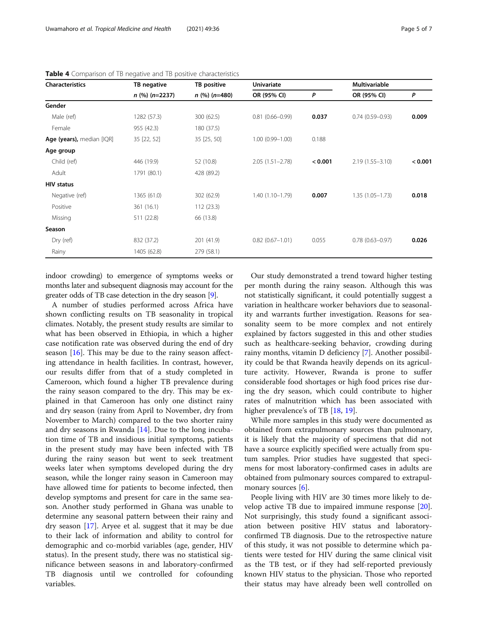| <b>Characteristics</b>    | TB negative      | TB positive<br>$n$ (%) (n=480) | <b>Univariate</b>   |         | <b>Multivariable</b> |         |
|---------------------------|------------------|--------------------------------|---------------------|---------|----------------------|---------|
|                           | $n$ (%) (n=2237) |                                | OR (95% CI)         | P       | OR (95% CI)          | P       |
| Gender                    |                  |                                |                     |         |                      |         |
| Male (ref)                | 1282 (57.3)      | 300 (62.5)                     | $0.81(0.66 - 0.99)$ | 0.037   | $0.74(0.59 - 0.93)$  | 0.009   |
| Female                    | 955 (42.3)       | 180 (37.5)                     |                     |         |                      |         |
| Age (years), median [IQR] | 35 [22, 52]      | 35 [25, 50]                    | $1.00(0.99 - 1.00)$ | 0.188   |                      |         |
| Age group                 |                  |                                |                     |         |                      |         |
| Child (ref)               | 446 (19.9)       | 52 (10.8)                      | $2.05(1.51 - 2.78)$ | < 0.001 | $2.19(1.55 - 3.10)$  | < 0.001 |
| Adult                     | 1791 (80.1)      | 428 (89.2)                     |                     |         |                      |         |
| <b>HIV status</b>         |                  |                                |                     |         |                      |         |
| Negative (ref)            | 1365 (61.0)      | 302 (62.9)                     | $1.40(1.10 - 1.79)$ | 0.007   | $1.35(1.05 - 1.73)$  | 0.018   |
| Positive                  | 361 (16.1)       | 112(23.3)                      |                     |         |                      |         |
| Missing                   | 511 (22.8)       | 66 (13.8)                      |                     |         |                      |         |
| Season                    |                  |                                |                     |         |                      |         |
| Dry (ref)                 | 832 (37.2)       | 201 (41.9)                     | $0.82(0.67 - 1.01)$ | 0.055   | $0.78(0.63 - 0.97)$  | 0.026   |
| Rainy                     | 1405 (62.8)      | 279 (58.1)                     |                     |         |                      |         |

<span id="page-4-0"></span>Table 4 Comparison of TB negative and TB positive characteristics

indoor crowding) to emergence of symptoms weeks or months later and subsequent diagnosis may account for the greater odds of TB case detection in the dry season [\[9\]](#page-6-0).

A number of studies performed across Africa have shown conflicting results on TB seasonality in tropical climates. Notably, the present study results are similar to what has been observed in Ethiopia, in which a higher case notification rate was observed during the end of dry season  $[16]$  $[16]$ . This may be due to the rainy season affecting attendance in health facilities. In contrast, however, our results differ from that of a study completed in Cameroon, which found a higher TB prevalence during the rainy season compared to the dry. This may be explained in that Cameroon has only one distinct rainy and dry season (rainy from April to November, dry from November to March) compared to the two shorter rainy and dry seasons in Rwanda [[14\]](#page-6-0). Due to the long incubation time of TB and insidious initial symptoms, patients in the present study may have been infected with TB during the rainy season but went to seek treatment weeks later when symptoms developed during the dry season, while the longer rainy season in Cameroon may have allowed time for patients to become infected, then develop symptoms and present for care in the same season. Another study performed in Ghana was unable to determine any seasonal pattern between their rainy and dry season [[17](#page-6-0)]. Aryee et al. suggest that it may be due to their lack of information and ability to control for demographic and co-morbid variables (age, gender, HIV status). In the present study, there was no statistical significance between seasons in and laboratory-confirmed TB diagnosis until we controlled for cofounding variables.

Our study demonstrated a trend toward higher testing per month during the rainy season. Although this was not statistically significant, it could potentially suggest a variation in healthcare worker behaviors due to seasonality and warrants further investigation. Reasons for seasonality seem to be more complex and not entirely explained by factors suggested in this and other studies such as healthcare-seeking behavior, crowding during rainy months, vitamin D deficiency [\[7](#page-6-0)]. Another possibility could be that Rwanda heavily depends on its agriculture activity. However, Rwanda is prone to suffer considerable food shortages or high food prices rise during the dry season, which could contribute to higher rates of malnutrition which has been associated with higher prevalence's of TB [\[18,](#page-6-0) [19\]](#page-6-0).

While more samples in this study were documented as obtained from extrapulmonary sources than pulmonary, it is likely that the majority of specimens that did not have a source explicitly specified were actually from sputum samples. Prior studies have suggested that specimens for most laboratory-confirmed cases in adults are obtained from pulmonary sources compared to extrapulmonary sources [\[6](#page-6-0)].

People living with HIV are 30 times more likely to develop active TB due to impaired immune response [\[20](#page-6-0)]. Not surprisingly, this study found a significant association between positive HIV status and laboratoryconfirmed TB diagnosis. Due to the retrospective nature of this study, it was not possible to determine which patients were tested for HIV during the same clinical visit as the TB test, or if they had self-reported previously known HIV status to the physician. Those who reported their status may have already been well controlled on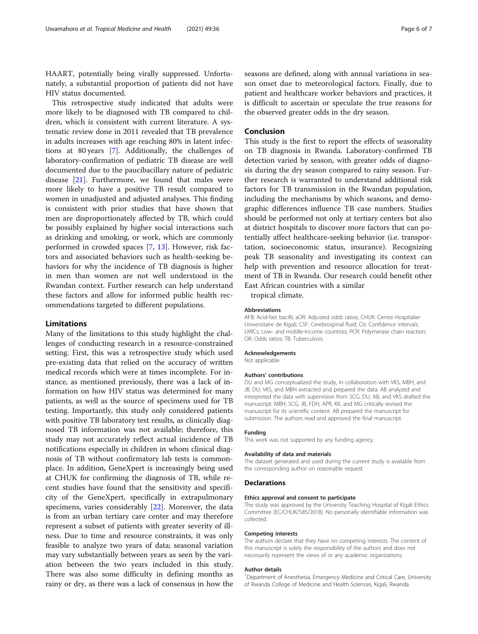HAART, potentially being virally suppressed. Unfortunately, a substantial proportion of patients did not have HIV status documented.

This retrospective study indicated that adults were more likely to be diagnosed with TB compared to children, which is consistent with current literature. A systematic review done in 2011 revealed that TB prevalence in adults increases with age reaching 80% in latent infections at 80 years [\[7](#page-6-0)]. Additionally, the challenges of laboratory-confirmation of pediatric TB disease are well documented due to the paucibacillary nature of pediatric disease [[21\]](#page-6-0). Furthermore, we found that males were more likely to have a positive TB result compared to women in unadjusted and adjusted analyses. This finding is consistent with prior studies that have shown that men are disproportionately affected by TB, which could be possibly explained by higher social interactions such as drinking and smoking, or work, which are commonly performed in crowded spaces [\[7](#page-6-0), [13\]](#page-6-0). However, risk factors and associated behaviors such as health-seeking behaviors for why the incidence of TB diagnosis is higher in men than women are not well understood in the Rwandan context. Further research can help understand these factors and allow for informed public health recommendations targeted to different populations.

#### Limitations

Many of the limitations to this study highlight the challenges of conducting research in a resource-constrained setting. First, this was a retrospective study which used pre-existing data that relied on the accuracy of written medical records which were at times incomplete. For instance, as mentioned previously, there was a lack of information on how HIV status was determined for many patients, as well as the source of specimens used for TB testing. Importantly, this study only considered patients with positive TB laboratory test results, as clinically diagnosed TB information was not available; therefore, this study may not accurately reflect actual incidence of TB notifications especially in children in whom clinical diagnosis of TB without confirmatory lab tests is commonplace. In addition, GeneXpert is increasingly being used at CHUK for confirming the diagnosis of TB, while recent studies have found that the sensitivity and specificity of the GeneXpert, specifically in extrapulmonary specimens, varies considerably [[22\]](#page-6-0). Moreover, the data is from an urban tertiary care center and may therefore represent a subset of patients with greater severity of illness. Due to time and resource constraints, it was only feasible to analyze two years of data; seasonal variation may vary substantially between years as seen by the variation between the two years included in this study. There was also some difficulty in defining months as rainy or dry, as there was a lack of consensus in how the seasons are defined, along with annual variations in season onset due to meteorological factors. Finally, due to patient and healthcare worker behaviors and practices, it is difficult to ascertain or speculate the true reasons for the observed greater odds in the dry season.

#### Conclusion

This study is the first to report the effects of seasonality on TB diagnosis in Rwanda. Laboratory-confirmed TB detection varied by season, with greater odds of diagnosis during the dry season compared to rainy season. Further research is warranted to understand additional risk factors for TB transmission in the Rwandan population, including the mechanisms by which seasons, and demographic differences influence TB case numbers. Studies should be performed not only at tertiary centers but also at district hospitals to discover more factors that can potentially affect healthcare-seeking behavior (i.e. transportation, socioeconomic status, insurance). Recognizing peak TB seasonality and investigating its context can help with prevention and resource allocation for treatment of TB in Rwanda. Our research could benefit other East African countries with a similar

tropical climate.

#### Abbreviations

AFB: Acid-fast bacilli; aOR: Adjusted odds ratios; CHUK: Centre Hospitalier Universitaire de Kigali; CSF: Cerebrospinal fluid; CIs: Confidence intervals; LMICs: Low- and middle-income countries; PCR: Polymerase chain reaction; OR: Odds ratios; TB: Tuberculosis

#### Acknowledgements

Not applicable

#### Authors' contributions

DU and MG conceptualized the study, in collaboration with VKS, MBH, and JB. DU, VKS, and MBH extracted and prepared the data. AB analyzed and interpreted the data with supervision from SCG. DU, AB, and VKS drafted the manuscript. MBH, SCG, JB, FDH, APR, KK, and MG critically revised the manuscript for its scientific content. AB prepared the manuscript for submission. The authors read and approved the final manuscript.

#### Funding

This work was not supported by any funding agency.

#### Availability of data and materials

The dataset generated and used during the current study is available from the corresponding author on reasonable request.

#### **Declarations**

#### Ethics approval and consent to participate

The study was approved by the University Teaching Hospital of Kigali Ethics Committee (EC/CHUK/585/2018). No personally identifiable information was collected.

#### Competing interests

The authors declare that they have no competing interests. The content of this manuscript is solely the responsibility of the authors and does not necessarily represent the views of or any academic organizations.

#### Author details

<sup>1</sup>Department of Anesthesia, Emergency Medicine and Critical Care, University of Rwanda College of Medicine and Health Sciences, Kigali, Rwanda.